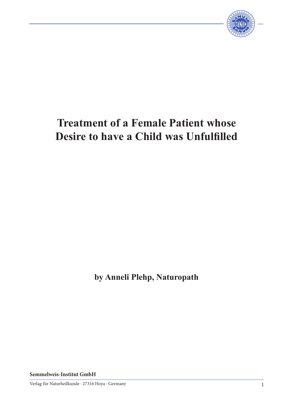

# **Treatment of a Female Patient whose Desire to have a Child was Unfulfilled**

**by Anneli Plehp, Naturopath**

**Semmelweis-Institut GmbH**

Verlag für Naturheilkunde · 27316 Hoya · Germany 1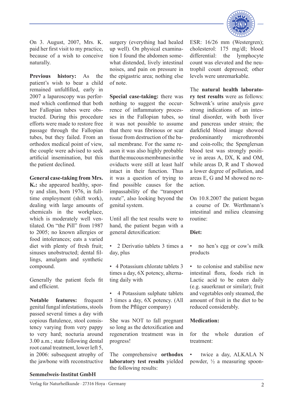

On 3. August, 2007, Mrs. K. paid her first visit to my practice, because of a wish to conceive naturally.

**Previous history:** As the patient's wish to bear a child remained unfulfilled, early in 2007 a laparoscopy was performed which confirmed that both her Fallopian tubes were obstructed. During this procedure efforts were made to restore free passage through the Fallopian tubes, but they failed. From an orthodox medical point of view, the couple were advised to seek artificial insemination, but this the patient declined.

### **General case-taking from Mrs.**

**K.:** she appeared healthy, sporty and slim, born 1976, in fulltime employment (shift work), dealing with large amounts of chemicals in the workplace, which is moderately well ventilated. On "the Pill" from 1987 to 2005; no known allergies or food intolerances; eats a varied diet with plenty of fresh fruit; sinuses unobstructed; dental fillings, amalgam and synthetic compound.

Generally the patient feels fit and efficient.

**Notable features:** frequent genital fungal infestations, stools passed several times a day with copious flatulence, stool consistency varying from very pappy to very hard; nocturia around 3.00 a.m.; state following dental root canal treatment, lower left 5, in 2006: subsequent atrophy of the jawbone with reconstructive

surgery (everything had healed up well). On physical examination I found the abdomen somewhat distended, lively intestinal noises, and pain on pressure in the epigastric area; nothing else of note.

**Special case-taking:** there was nothing to suggest the occurrence of inflammatory processes in the Fallopian tubes, so it was not possible to assume that there was fibrinous or scar tissue from destruction of the basal membrane. For the same reason it was also highly probable that the mucous membranes in the oviducts were still at least half intact in their function. Thus it was a question of trying to find possible causes for the impassability of the "transport route", also looking beyond the genital system.

Until all the test results were to hand, the patient began with a general detoxification:

• 2 Derivatio tablets 3 times a day, plus

• 4 Potassium chlorate tablets 3 times a day, 6X potency, alternating daily with

• 4 Potassium sulphate tablets 3 times a day, 6X potency. (All from the Pflüger company)

She was NOT to fall pregnant so long as the detoxification and regeneration treatment was in progress!

The comprehensive **orthodox laboratory test results** yielded the following results:

ESR: 16/26 mm (Westergren); cholesterol: 175 mg/dl; blood differential: the lymphocyte count was elevated and the neutrophil count depressed; other levels were unremarkable.

The **natural health laboratory test results** were as follows: Schwenk's urine analysis gave strong indications of an intestinal disorder, with both liver and pancreas under strain; the darkfield blood image showed predominantly microthrombi and coin-rolls; the Spenglersan blood test was strongly positive in areas A, DX, K and OM, while areas D, R and T showed a lower degree of pollution, and areas E, G and M showed no reaction.

On 10.8.2007 the patient began a course of Dr. Werthmann's intestinal and milieu cleansing routine:

#### **Diet:**

- no hen's egg or cow's milk products
- to colonise and stabilise new intestinal flora, foods rich in Lactic acid to be eaten daily (e.g. sauerkraut or similar); fruit and vegetables only steamed, the amount of fruit in the diet to be reduced considerably.

## **Medication:**

for the whole duration of treatment:

twice a day, ALKALA N powder, ½ a measuring spoon-

#### **Semmelweis-Institut GmbH**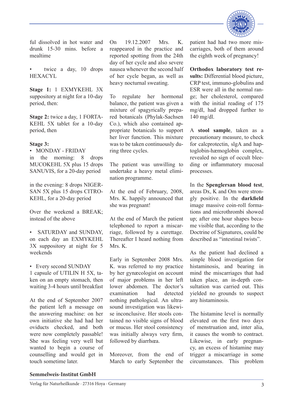

ful dissolved in hot water and drunk 15-30 mins. before a mealtime

• twice a day, 10 drops HEXACYL

**Stage 1:** 1 EXMYKEHL 3X suppository at night for a 10-day period, then:

**Stage 2:** twice a day, 1 FORTA-KEHL 5X tablet for a 10-day period, then

#### **Stage 3:**

• MONDAY - FRIDAY in the morning: 8 drops MUCOKEHL 5X plus 15 drops SANUVIS, for a 20-day period

in the evening: 8 drops NIGER-SAN 5X plus 15 drops CITRO-KEHL, for a 20-day period

Over the weekend a BREAK; instead of the above

• SATURDAY and SUNDAY, on each day an EXMYKEHL 3X suppository at night for 5 weekends

• Every second SUNDAY

1 capsule of UTILIN H 5X, taken on an empty stomach, then waiting 3-4 hours until breakfast

At the end of September 2007 the patient left a message on the answering machine: on her own initiative she had had her oviducts checked, and both were now completely passable! She was feeling very well but wanted to begin a course of counselling and would get in touch sometime later.

On 19.12.2007 Mrs. K. reappeared in the practice and reported spotting from the 24th day of her cycle and also severe nausea whenever the second half of her cycle began, as well as heavy nocturnal sweating.

To regulate her hormonal balance, the patient was given a mixture of spagyrically prepared botanicals (Phylak-Sachsen Co.), which also contained appropriate botanicals to support her liver function. This mixture was to be taken continuously during three cycles.

The patient was unwilling to undertake a heavy metal elimination programme.

At the end of February, 2008, Mrs. K. happily announced that she was pregnant!

At the end of March the patient telephoned to report a miscarriage, followed by a curettage. Thereafter I heard nothing from Mrs. K.

Early in September 2008 Mrs. K. was referred to my practice by her gynæcologist on account of major problems in her left lower abdomen. The doctor's examination had detected nothing pathological. An ultrasound investigation was likewise inconclusive. Her stools contained no visible signs of blood or mucus. Her stool consistency was initially always very firm, followed by diarrhœa.

Moreover, from the end of March to early September the

patient had had two more miscarriages, both of them around the eighth week of pregnancy!

**Orthodox laboratory test results:** Differential blood picture, CRP test, immuno-globulins and ESR were all in the normal range; her cholesterol, compared with the initial reading of 175 mg/dl, had dropped further to 140 mg/dl.

A **stool sample**, taken as a precautionary measure, to check for calcprotectin, slgA and haptoglobin-hæmoglobin complex, revealed no sign of occult bleeding or inflammatory mucosal processes.

In the **Spenglersan blood test**, areas Dx, K and Om were strongly positive. In the **darkfield** image massive coin-roll formations and microthrombi showed up; after one hour shapes became visible that, according to the Doctrine of Signatures, could be described as "intestinal twists".

As the patient had declined a simple blood investigation for histaminosis, and bearing in mind the miscarriages that had taken place, an in-depth consultation was carried out. This yielded no grounds to suspect any histaminosis.

The histamine level is normally elevated on the first two days of menstruation and, inter alia, it causes the womb to contract. Likewise, in early pregnancy, an excess of histamine may trigger a miscarriage in some circumstances. This problem

#### **Semmelweis-Institut GmbH**